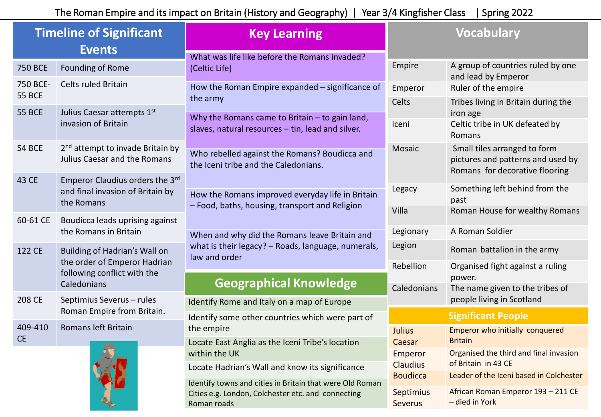| <b>Timeline of Significant</b><br><b>Events</b> |                                                                                                             | <b>Key Learning</b>                                                                                                                                   | <b>Vocabulary</b>           |                                                                                                     |
|-------------------------------------------------|-------------------------------------------------------------------------------------------------------------|-------------------------------------------------------------------------------------------------------------------------------------------------------|-----------------------------|-----------------------------------------------------------------------------------------------------|
| <b>750 BCE</b>                                  | Founding of Rome                                                                                            | What was life like before the Romans invaded?<br>(Celtic Life)                                                                                        | Empire                      | A group of countries ruled by one<br>and lead by Emperor                                            |
| 750 BCE-<br><b>55 BCE</b>                       | Celts ruled Britain                                                                                         | How the Roman Empire expanded - significance of                                                                                                       | Emperor                     | Ruler of the empire                                                                                 |
| <b>55 BCE</b>                                   | Julius Caesar attempts 1st                                                                                  | the army                                                                                                                                              | Celts                       | Tribes living in Britain during the<br>iron age                                                     |
|                                                 | invasion of Britain                                                                                         | Why the Romans came to Britain $-$ to gain land,<br>slaves, natural resources - tin, lead and silver.                                                 | Iceni                       | Celtic tribe in UK defeated by<br>Romans                                                            |
| <b>54 BCE</b>                                   | 2 <sup>nd</sup> attempt to invade Britain by<br>Julius Caesar and the Romans                                | Who rebelled against the Romans? Boudicca and<br>the Iceni tribe and the Caledonians.                                                                 | Mosaic                      | Small tiles arranged to form<br>pictures and patterns and used by<br>Romans for decorative flooring |
| 43 CE                                           | Emperor Claudius orders the 3rd<br>and final invasion of Britain by<br>the Romans                           | How the Romans improved everyday life in Britain<br>- Food, baths, housing, transport and Religion                                                    | Legacy                      | Something left behind from the<br>past                                                              |
| 60-61 CE                                        | Boudicca leads uprising against                                                                             |                                                                                                                                                       | Villa                       | Roman House for wealthy Romans                                                                      |
|                                                 | the Romans in Britain                                                                                       | When and why did the Romans leave Britain and<br>what is their legacy? - Roads, language, numerals,<br>law and order<br><b>Geographical Knowledge</b> | Legionary                   | A Roman Soldier                                                                                     |
| 122 CE                                          | Building of Hadrian's Wall on<br>the order of Emperor Hadrian<br>following conflict with the<br>Caledonians |                                                                                                                                                       | Legion                      | Roman battalion in the army                                                                         |
|                                                 |                                                                                                             |                                                                                                                                                       | Rebellion                   | Organised fight against a ruling<br>power.                                                          |
|                                                 |                                                                                                             |                                                                                                                                                       | Caledonians                 | The name given to the tribes of                                                                     |
| 208 CE                                          | Septimius Severus - rules<br>Roman Empire from Britain.                                                     | Identify Rome and Italy on a map of Europe                                                                                                            |                             | people living in Scotland                                                                           |
|                                                 |                                                                                                             | Identify some other countries which were part of                                                                                                      |                             | <b>Significant People</b>                                                                           |
| 409-410<br><b>CE</b>                            | Romans left Britain                                                                                         | the empire<br>Locate East Anglia as the Iceni Tribe's location                                                                                        | <b>Julius</b><br>Caesar     | Emperor who initially conquered<br><b>Britain</b>                                                   |
|                                                 |                                                                                                             | within the UK                                                                                                                                         | Emperor                     | Organised the third and final invasion                                                              |
|                                                 |                                                                                                             | Locate Hadrian's Wall and know its significance<br>Identify towns and cities in Britain that were Old Roman                                           | <b>Claudius</b>             | of Britain in 43 CE                                                                                 |
|                                                 |                                                                                                             |                                                                                                                                                       | <b>Boudicca</b>             | Leader of the Iceni based in Colchester                                                             |
|                                                 |                                                                                                             | Cities e.g. London, Colchester etc. and connecting<br>Roman roads                                                                                     | Septimius<br><b>Severus</b> | African Roman Emperor 193 - 211 CE<br>- died in York                                                |